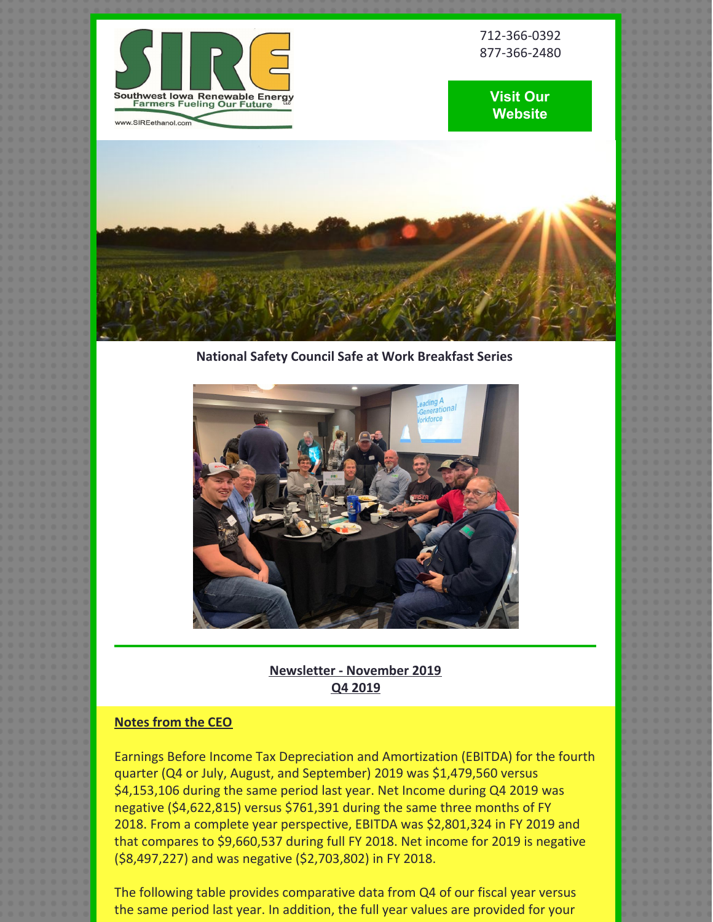

712-366-0392 877-366-2480





**National Safety Council Safe at Work Breakfast Series**



**Newsletter - November 2019 Q4 2019**

# **Notes from the CEO**

Earnings Before Income Tax Depreciation and Amortization (EBITDA) for the fourth quarter (Q4 or July, August, and September) 2019 was \$1,479,560 versus \$4,153,106 during the same period last year. Net Income during Q4 2019 was negative (\$4,622,815) versus \$761,391 during the same three months of FY 2018. From a complete year perspective, EBITDA was \$2,801,324 in FY 2019 and that compares to \$9,660,537 during full FY 2018. Net income for 2019 is negative (\$8,497,227) and was negative (\$2,703,802) in FY 2018.

The following table provides comparative data from Q4 of our fiscal year versus the same period last year. In addition, the full year values are provided for your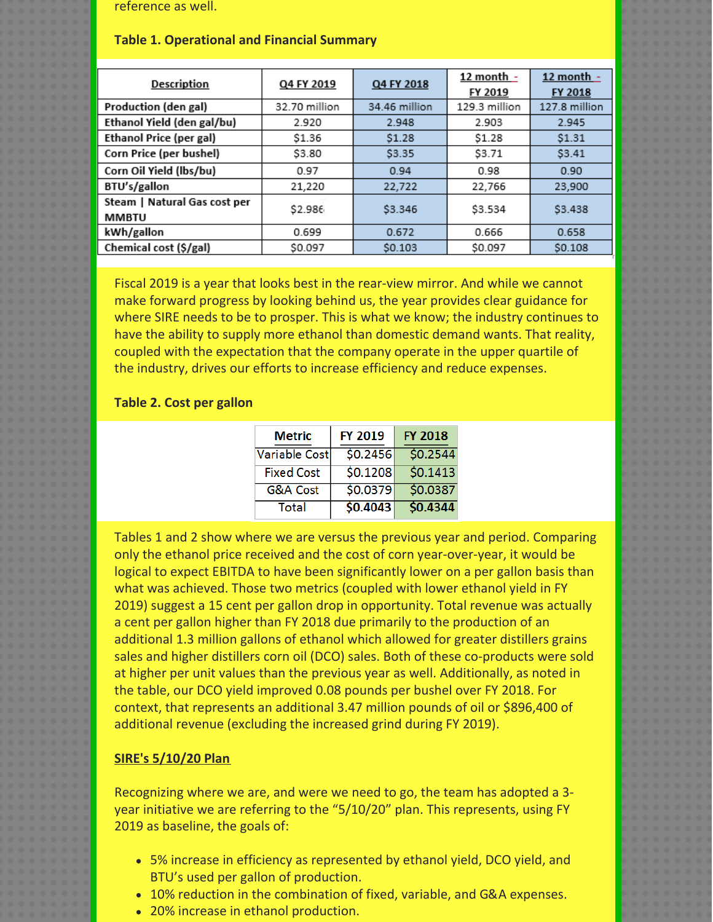reference as well.

#### **Table 1. Operational and Financial Summary**

| <b>Description</b>                           | Q4 FY 2019    | Q4 FY 2018    | 12 month -<br>FY 2019 | 12 month $-$<br>FY 2018 |
|----------------------------------------------|---------------|---------------|-----------------------|-------------------------|
| Production (den gal)                         | 32.70 million | 34.46 million | 129.3 million         | 127.8 million           |
| Ethanol Yield (den gal/bu)                   | 2.920         | 2.948         | 2.903                 | 2.945                   |
| <b>Ethanol Price (per gal)</b>               | \$1.36        | \$1.28        | \$1.28                | \$1.31                  |
| Corn Price (per bushel)                      | \$3.80        | \$3.35        | \$3.71                | \$3.41                  |
| Corn Oil Yield (lbs/bu)                      | 0.97          | 0.94          | 0.98                  | 0.90                    |
| BTU's/gallon                                 | 21,220        | 22,722        | 22,766                | 23,900                  |
| Steam   Natural Gas cost per<br><b>MMBTU</b> | \$2.986       | \$3.346       | \$3.534               | \$3,438                 |
| kWh/gallon                                   | 0.699         | 0.672         | 0.666                 | 0.658                   |
| Chemical cost (\$/gal)                       | \$0.097       | \$0.103       | \$0.097               | S0.108                  |

Fiscal 2019 is a year that looks best in the rear-view mirror. And while we cannot make forward progress by looking behind us, the year provides clear guidance for where SIRE needs to be to prosper. This is what we know; the industry continues to have the ability to supply more ethanol than domestic demand wants. That reality, coupled with the expectation that the company operate in the upper quartile of the industry, drives our efforts to increase efficiency and reduce expenses.

### **Table 2. Cost per gallon**

| <b>Metric</b>     | <b>FY 2019</b> | <b>FY 2018</b> |
|-------------------|----------------|----------------|
| Variable Cost     | 50.2456        | \$0.2544       |
| <b>Fixed Cost</b> | 50.1208        | \$0.1413       |
| G&A Cost          | \$0.0379       | \$0.0387       |
| Total             | 50.4043        | \$0.4344       |

Tables 1 and 2 show where we are versus the previous year and period. Comparing only the ethanol price received and the cost of corn year-over-year, it would be logical to expect EBITDA to have been significantly lower on a per gallon basis than what was achieved. Those two metrics (coupled with lower ethanol yield in FY 2019) suggest a 15 cent per gallon drop in opportunity. Total revenue was actually a cent per gallon higher than FY 2018 due primarily to the production of an additional 1.3 million gallons of ethanol which allowed for greater distillers grains sales and higher distillers corn oil (DCO) sales. Both of these co-products were sold at higher per unit values than the previous year as well. Additionally, as noted in the table, our DCO yield improved 0.08 pounds per bushel over FY 2018. For context, that represents an additional 3.47 million pounds of oil or \$896,400 of additional revenue (excluding the increased grind during FY 2019).

## **SIRE's 5/10/20 Plan**

Recognizing where we are, and were we need to go, the team has adopted a 3 year initiative we are referring to the "5/10/20" plan. This represents, using FY 2019 as baseline, the goals of:

- 5% increase in efficiency as represented by ethanol yield, DCO yield, and BTU's used per gallon of production.
- 10% reduction in the combination of fixed, variable, and G&A expenses.
- 20% increase in ethanol production.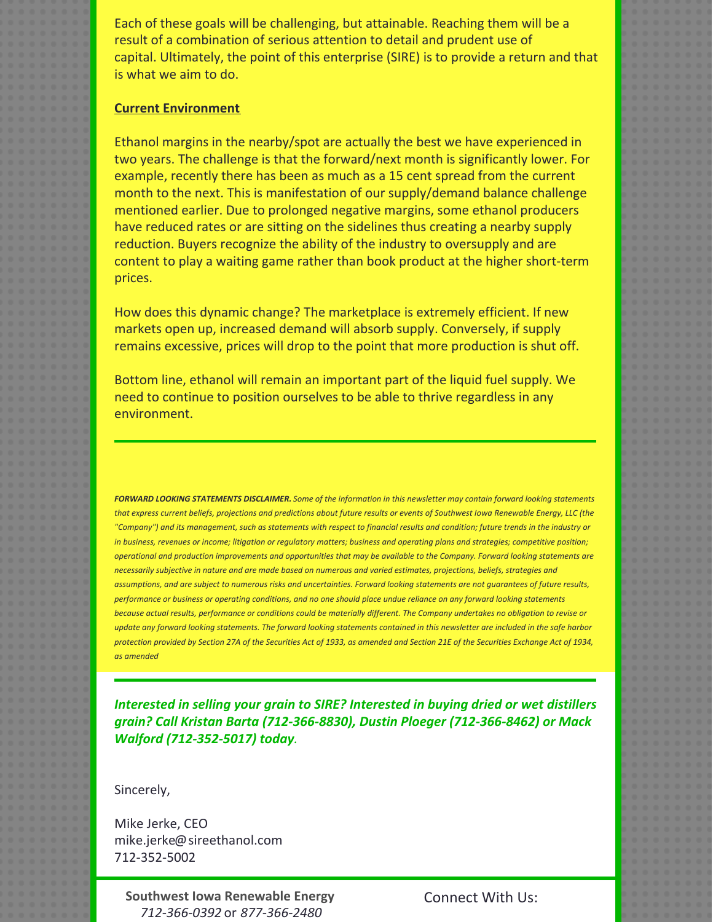Each of these goals will be challenging, but attainable. Reaching them will be a result of a combination of serious attention to detail and prudent use of capital. Ultimately, the point of this enterprise (SIRE) is to provide a return and that is what we aim to do.

### **Current Environment**

Ethanol margins in the nearby/spot are actually the best we have experienced in two years. The challenge is that the forward/next month is significantly lower. For example, recently there has been as much as a 15 cent spread from the current month to the next. This is manifestation of our supply/demand balance challenge mentioned earlier. Due to prolonged negative margins, some ethanol producers have reduced rates or are sitting on the sidelines thus creating a nearby supply reduction. Buyers recognize the ability of the industry to oversupply and are content to play a waiting game rather than book product at the higher short-term prices.

How does this dynamic change? The marketplace is extremely efficient. If new markets open up, increased demand will absorb supply. Conversely, if supply remains excessive, prices will drop to the point that more production is shut off.

Bottom line, ethanol will remain an important part of the liquid fuel supply. We need to continue to position ourselves to be able to thrive regardless in any environment.

FORWARD LOOKING STATEMENTS DISCLAIMER. Some of the information in this newsletter may contain forward looking statements that express current beliefs, projections and predictions about future results or events of Southwest Iowa Renewable Energy, LLC (the "Company") and its management, such as statements with respect to financial results and condition; future trends in the industry or in business, revenues or income; litigation or regulatory matters; business and operating plans and strategies; competitive position; operational and production improvements and opportunities that may be available to the Company. Forward looking statements are necessarily subjective in nature and are made based on numerous and varied estimates, projections, beliefs, strategies and assumptions, and are subject to numerous risks and uncertainties. Forward looking statements are not quarantees of future results, performance or business or operating conditions, and no one should place undue reliance on any forward looking statements because actual results, performance or conditions could be materially different. The Company undertakes no obligation to revise or update any forward looking statements. The forward looking statements contained in this newsletter are included in the safe harbor protection provided by Section 27A of the Securities Act of 1933, as amended and Section 21E of the Securities Exchange Act of 1934, *as amended*

*Interested in selling your grain to SIRE? Interested in buying dried or wet distillers grain? Call Kristan Barta (712-366-8830), Dustin Ploeger (712-366-8462) or Mack Walford (712-352-5017) today.*

Sincerely,

Mike Jerke, CEO mike.jerke@sireethanol.com 712-352-5002

**Southwest Iowa Renewable Energy** *712-366-0392* or *877-366-2480*

Connect With Us: